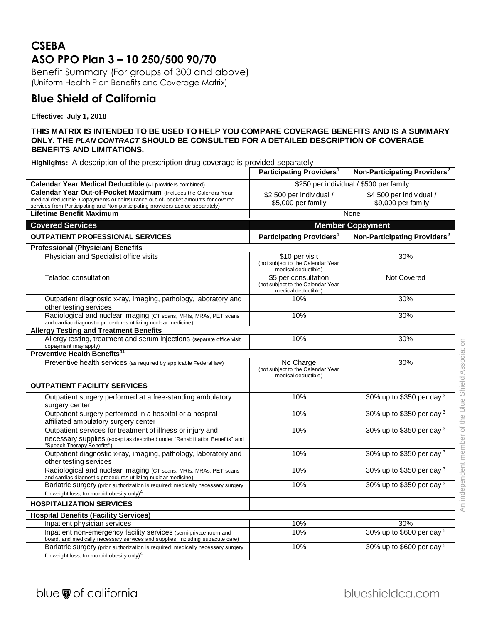# **CSEBA ASO PPO Plan 3 – 10 250/500 90/70**

Benefit Summary (For groups of 300 and above) (Uniform Health Plan Benefits and Coverage Matrix)

## **Blue Shield of California**

### **Effective: July 1, 2018**

#### **THIS MATRIX IS INTENDED TO BE USED TO HELP YOU COMPARE COVERAGE BENEFITS AND IS A SUMMARY ONLY. THE** *PLAN CONTRACT* **SHOULD BE CONSULTED FOR A DETAILED DESCRIPTION OF COVERAGE BENEFITS AND LIMITATIONS.**

**Highlights:** A description of the prescription drug coverage is provided separately

|                                                                                                                                                                                                                                      | Participating Providers <sup>1</sup>                                             | Non-Participating Providers <sup>2</sup>       |
|--------------------------------------------------------------------------------------------------------------------------------------------------------------------------------------------------------------------------------------|----------------------------------------------------------------------------------|------------------------------------------------|
| <b>Calendar Year Medical Deductible (All providers combined)</b>                                                                                                                                                                     | \$250 per individual / \$500 per family                                          |                                                |
| Calendar Year Out-of-Pocket Maximum (Includes the Calendar Year<br>medical deductible. Copayments or coinsurance out-of-pocket amounts for covered<br>services from Participating and Non-participating providers accrue separately) | \$2,500 per individual /<br>\$5,000 per family                                   | \$4,500 per individual /<br>\$9,000 per family |
| <b>Lifetime Benefit Maximum</b>                                                                                                                                                                                                      |                                                                                  | None                                           |
| <b>Covered Services</b>                                                                                                                                                                                                              | <b>Member Copayment</b>                                                          |                                                |
| <b>OUTPATIENT PROFESSIONAL SERVICES</b>                                                                                                                                                                                              | Participating Providers <sup>1</sup>                                             | Non-Participating Providers <sup>2</sup>       |
| <b>Professional (Physician) Benefits</b>                                                                                                                                                                                             |                                                                                  |                                                |
| Physician and Specialist office visits                                                                                                                                                                                               | \$10 per visit<br>(not subject to the Calendar Year<br>medical deductible)       | 30%                                            |
| Teladoc consultation                                                                                                                                                                                                                 | \$5 per consultation<br>(not subject to the Calendar Year<br>medical deductible) | Not Covered                                    |
| Outpatient diagnostic x-ray, imaging, pathology, laboratory and<br>other testing services                                                                                                                                            | 10%                                                                              | 30%                                            |
| Radiological and nuclear imaging (CT scans, MRIs, MRAs, PET scans<br>and cardiac diagnostic procedures utilizing nuclear medicine)                                                                                                   | 10%                                                                              | 30%                                            |
| <b>Allergy Testing and Treatment Benefits</b>                                                                                                                                                                                        |                                                                                  |                                                |
| Allergy testing, treatment and serum injections (separate office visit<br>copayment may apply)                                                                                                                                       | 10%                                                                              | 30%                                            |
| Preventive Health Benefits <sup>11</sup>                                                                                                                                                                                             |                                                                                  |                                                |
| Preventive health services (as required by applicable Federal law)                                                                                                                                                                   | No Charge<br>(not subject to the Calendar Year<br>medical deductible)            | 30%                                            |
| <b>OUTPATIENT FACILITY SERVICES</b>                                                                                                                                                                                                  |                                                                                  |                                                |
| Outpatient surgery performed at a free-standing ambulatory<br>surgery center                                                                                                                                                         | 10%                                                                              | 30% up to \$350 per day 3                      |
| Outpatient surgery performed in a hospital or a hospital<br>affiliated ambulatory surgery center                                                                                                                                     | 10%                                                                              | 30% up to \$350 per day 3                      |
| Outpatient services for treatment of illness or injury and<br>necessary supplies (except as described under "Rehabilitation Benefits" and<br>"Speech Therapy Benefits")                                                              | 10%                                                                              | 30% up to \$350 per day 3                      |
| Outpatient diagnostic x-ray, imaging, pathology, laboratory and<br>other testing services                                                                                                                                            | 10%                                                                              | 30% up to \$350 per day 3                      |
| Radiological and nuclear imaging (CT scans, MRIs, MRAs, PET scans<br>and cardiac diagnostic procedures utilizing nuclear medicine)                                                                                                   | 10%                                                                              | 30% up to \$350 per day 3                      |
| Bariatric surgery (prior authorization is required; medically necessary surgery                                                                                                                                                      | 10%                                                                              | 30% up to \$350 per day 3                      |
| for weight loss, for morbid obesity only) <sup>4</sup>                                                                                                                                                                               |                                                                                  |                                                |
| <b>HOSPITALIZATION SERVICES</b>                                                                                                                                                                                                      |                                                                                  |                                                |
| <b>Hospital Benefits (Facility Services)</b>                                                                                                                                                                                         |                                                                                  |                                                |
| Inpatient physician services                                                                                                                                                                                                         | 10%                                                                              | 30%                                            |
| Inpatient non-emergency facility services (semi-private room and<br>board, and medically necessary services and supplies, including subacute care)                                                                                   | 10%                                                                              | 30% up to \$600 per day 5                      |
| Bariatric surgery (prior authorization is required; medically necessary surgery<br>for weight loss, for morbid obesity only) $4$                                                                                                     | 10%                                                                              | 30% up to \$600 per day 5                      |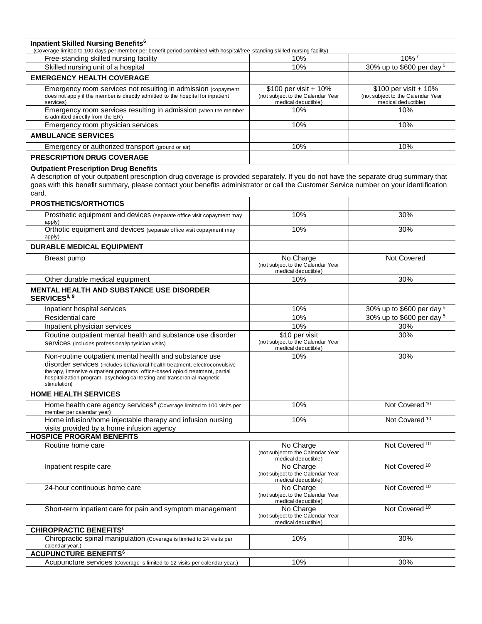**Inpatient Skilled Nursing Benefits<sup>6</sup>** (Coverage limited to 100 days per member per benefit period combined with hospital/free-standing skilled nursing facility)

| Free-standing skilled nursing facility                                                                                                                        | 10%                                                                                  | $10\%$ <sup>7</sup>                                                                  |
|---------------------------------------------------------------------------------------------------------------------------------------------------------------|--------------------------------------------------------------------------------------|--------------------------------------------------------------------------------------|
| Skilled nursing unit of a hospital                                                                                                                            | 10%                                                                                  | 30% up to \$600 per day $5$                                                          |
| <b>EMERGENCY HEALTH COVERAGE</b>                                                                                                                              |                                                                                      |                                                                                      |
| Emergency room services not resulting in admission (copayment<br>does not apply if the member is directly admitted to the hospital for inpatient<br>services) | \$100 per visit + $10\%$<br>(not subject to the Calendar Year<br>medical deductible) | \$100 per visit + $10\%$<br>(not subject to the Calendar Year<br>medical deductible) |
| Emergency room services resulting in admission (when the member<br>is admitted directly from the ER)                                                          | 10%                                                                                  | 10%                                                                                  |
| Emergency room physician services                                                                                                                             | 10%                                                                                  | 10%                                                                                  |
| <b>AMBULANCE SERVICES</b>                                                                                                                                     |                                                                                      |                                                                                      |
| Emergency or authorized transport (ground or air)                                                                                                             | 10%                                                                                  | 10%                                                                                  |
| <b>PRESCRIPTION DRUG COVERAGE</b>                                                                                                                             |                                                                                      |                                                                                      |

#### **Outpatient Prescription Drug Benefits**

A description of your outpatient prescription drug coverage is provided separately. If you do not have the separate drug summary that goes with this benefit summary, please contact your benefits administrator or call the Customer Service number on your identification card.

| PROSTHETICS/ORTHOTICS                                                                                                                                                                                                                                                                                              |                                                                            |                           |
|--------------------------------------------------------------------------------------------------------------------------------------------------------------------------------------------------------------------------------------------------------------------------------------------------------------------|----------------------------------------------------------------------------|---------------------------|
| Prosthetic equipment and devices (separate office visit copayment may<br>apply)                                                                                                                                                                                                                                    | 10%                                                                        | 30%                       |
| Orthotic equipment and devices (separate office visit copayment may<br>apply)                                                                                                                                                                                                                                      | 10%                                                                        | 30%                       |
| <b>DURABLE MEDICAL EQUIPMENT</b>                                                                                                                                                                                                                                                                                   |                                                                            |                           |
| Breast pump                                                                                                                                                                                                                                                                                                        | No Charge<br>(not subject to the Calendar Year<br>medical deductible)      | Not Covered               |
| Other durable medical equipment                                                                                                                                                                                                                                                                                    | 10%                                                                        | 30%                       |
| MENTAL HEALTH AND SUBSTANCE USE DISORDER<br>SERVICES <sup>8, 9</sup>                                                                                                                                                                                                                                               |                                                                            |                           |
| Inpatient hospital services                                                                                                                                                                                                                                                                                        | 10%                                                                        | 30% up to \$600 per day 5 |
| Residential care                                                                                                                                                                                                                                                                                                   | 10%                                                                        | 30% up to \$600 per day 5 |
| Inpatient physician services                                                                                                                                                                                                                                                                                       | 10%                                                                        | 30%                       |
| Routine outpatient mental health and substance use disorder<br>Services (includes professional/physician visits)                                                                                                                                                                                                   | \$10 per visit<br>(not subject to the Calendar Year<br>medical deductible) | 30%                       |
| Non-routine outpatient mental health and substance use<br>disorder services (includes behavioral health treatment, electroconvulsive<br>therapy, intensive outpatient programs, office-based opioid treatment, partial<br>hospitalization program, psychological testing and transcranial magnetic<br>stimulation) | 10%                                                                        | 30%                       |
| <b>HOME HEALTH SERVICES</b>                                                                                                                                                                                                                                                                                        |                                                                            |                           |
| Home health care agency services <sup>6</sup> (Coverage limited to 100 visits per<br>member per calendar year)                                                                                                                                                                                                     | 10%                                                                        | Not Covered <sup>10</sup> |
| Home infusion/home injectable therapy and infusion nursing<br>visits provided by a home infusion agency                                                                                                                                                                                                            | 10%                                                                        | Not Covered <sup>10</sup> |
| <b>HOSPICE PROGRAM BENEFITS</b>                                                                                                                                                                                                                                                                                    |                                                                            |                           |
| Routine home care                                                                                                                                                                                                                                                                                                  | No Charge<br>(not subject to the Calendar Year<br>medical deductible)      | Not Covered <sup>10</sup> |
| Inpatient respite care                                                                                                                                                                                                                                                                                             | No Charge<br>(not subject to the Calendar Year<br>medical deductible)      | Not Covered <sup>10</sup> |
| 24-hour continuous home care                                                                                                                                                                                                                                                                                       | No Charge<br>(not subject to the Calendar Year<br>medical deductible)      | Not Covered <sup>10</sup> |
| Short-term inpatient care for pain and symptom management                                                                                                                                                                                                                                                          | No Charge<br>(not subject to the Calendar Year<br>medical deductible)      | Not Covered <sup>10</sup> |
| <b>CHIROPRACTIC BENEFITS<sup>6</sup></b>                                                                                                                                                                                                                                                                           |                                                                            |                           |
| Chiropractic spinal manipulation (Coverage is limited to 24 visits per<br>calendar year.)                                                                                                                                                                                                                          | 10%                                                                        | 30%                       |
| <b>ACUPUNCTURE BENEFITS<sup>6</sup></b>                                                                                                                                                                                                                                                                            |                                                                            |                           |
| Acupuncture services (Coverage is limited to 12 visits per calendar year.)                                                                                                                                                                                                                                         | 10%                                                                        | 30%                       |